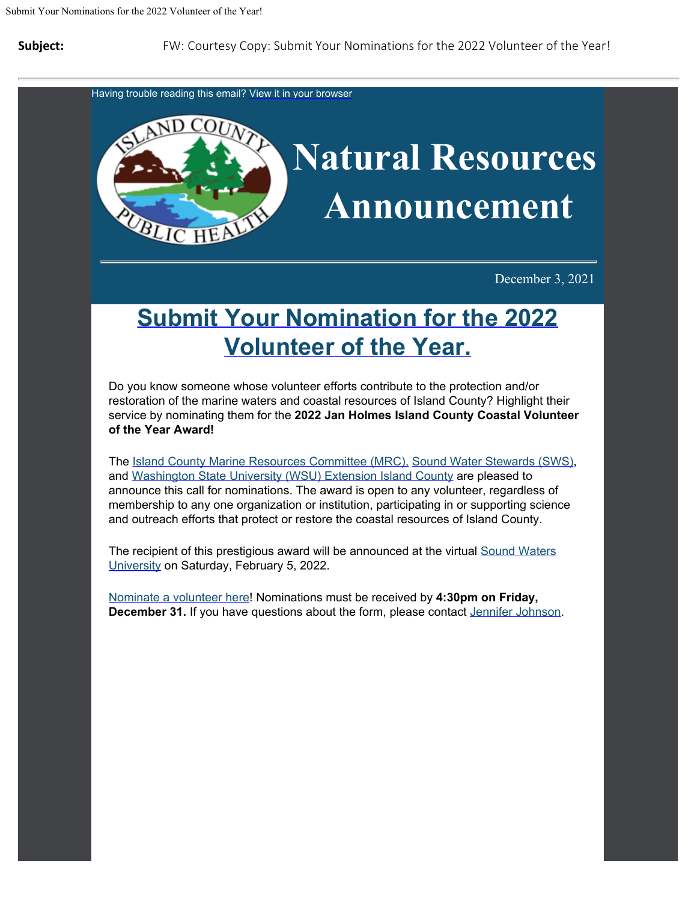**Subject:** FW: Courtesy Copy: Submit Your Nominations for the 2022 Volunteer of the Year!

Having trouble reading this email? [View](https://content.govdelivery.com/accounts/WACOISLAND/bulletins/2ff2abd) [it in your browser](https://content.govdelivery.com/accounts/WACOISLAND/bulletins/2ff2abd)



December 3, 2021

## **[Submit Your](https://www.cognitoforms.com/IslandCounty4/JanHolmesIslandCountyCoastalVolunteerOfTheYearNominationForm?utm_content=&utm_medium=email&utm_name=&utm_source=govdelivery&utm_term=) [Nomination for the 2022](https://www.cognitoforms.com/IslandCounty4/JanHolmesIslandCountyCoastalVolunteerOfTheYearNominationForm?utm_content=&utm_medium=email&utm_name=&utm_source=govdelivery&utm_term=) [Volunteer of the Year.](https://www.cognitoforms.com/IslandCounty4/JanHolmesIslandCountyCoastalVolunteerOfTheYearNominationForm?utm_content=&utm_medium=email&utm_name=&utm_source=govdelivery&utm_term=)**

Do you know someone whose volunteer efforts contribute to the protection and/or restoration of the marine waters and coastal resources of Island County? Highlight their service by nominating them for the **2022 Jan Holmes Island County Coastal Volunteer of the Year Award!**

The [Island](https://www.islandcountymrc.org/?utm_content=&utm_medium=email&utm_name=&utm_source=govdelivery&utm_term=) [County Marine Resources Committee \(MRC\),](https://www.islandcountymrc.org/?utm_content=&utm_medium=email&utm_name=&utm_source=govdelivery&utm_term=) [Sound](https://soundwaterstewards.org/?utm_content=&utm_medium=email&utm_name=&utm_source=govdelivery&utm_term=) [Water Stewards \(SWS\)](https://soundwaterstewards.org/?utm_content=&utm_medium=email&utm_name=&utm_source=govdelivery&utm_term=), and [Washington](https://extension.wsu.edu/island/?utm_content=&utm_medium=email&utm_name=&utm_source=govdelivery&utm_term=) [State University \(WSU\) Extension Island County](https://extension.wsu.edu/island/?utm_content=&utm_medium=email&utm_name=&utm_source=govdelivery&utm_term=) are pleased to announce this call for nominations. The award is open to any volunteer, regardless of membership to any one organization or institution, participating in or supporting science and outreach efforts that protect or restore the coastal resources of Island County.

The recipient of this prestigious award will be announced at the virtual [Sound](https://www.soundwatersuniversity.org/?utm_content=&utm_medium=email&utm_name=&utm_source=govdelivery&utm_term=) [Waters](https://www.soundwatersuniversity.org/?utm_content=&utm_medium=email&utm_name=&utm_source=govdelivery&utm_term=) [University](https://www.soundwatersuniversity.org/?utm_content=&utm_medium=email&utm_name=&utm_source=govdelivery&utm_term=) on Saturday, February 5, 2022.

[Nominate a volunteer](https://www.cognitoforms.com/IslandCounty4/janholmesislandcountycoastalvolunteeroftheyearnominationform?utm_content=&utm_medium=email&utm_name=&utm_source=govdelivery&utm_term=) [here](https://www.cognitoforms.com/IslandCounty4/janholmesislandcountycoastalvolunteeroftheyearnominationform?utm_content=&utm_medium=email&utm_name=&utm_source=govdelivery&utm_term=)! Nominations must be received by **4:30pm on Friday, December 31.** If you have questions about the form, please contact [Jennifer](mailto:jennifer.johnson@islandcountywa.gov) [Johnson](mailto:jennifer.johnson@islandcountywa.gov).